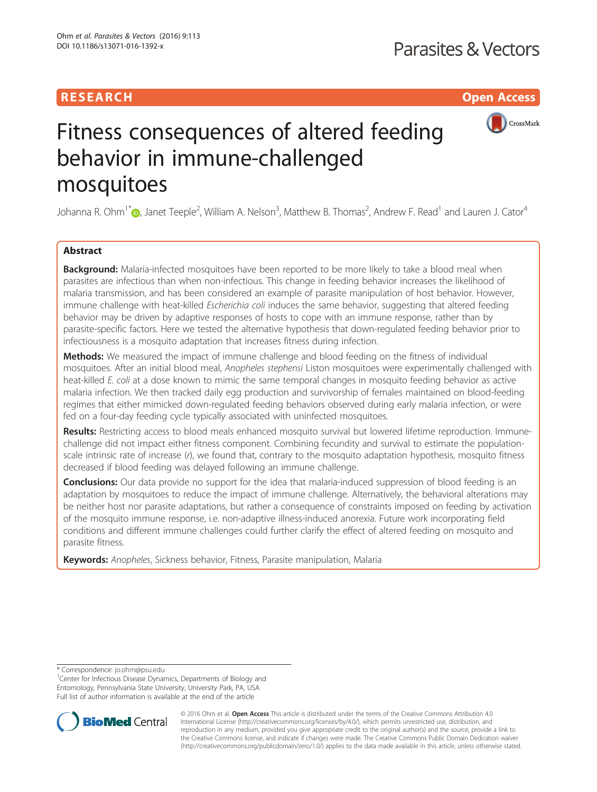# **RESEARCH CH Open Access**



# Fitness consequences of altered feeding behavior in immune-challenged mosquitoes

Johanna R. Ohm<sup>1\*</sup>�[,](http://orcid.org/0000-0002-5609-3328) Janet Teeple<sup>2</sup>, William A. Nelson<sup>3</sup>, Matthew B. Thomas<sup>2</sup>, Andrew F. Read<sup>1</sup> and Lauren J. Cator<sup>4</sup>

# Abstract

**Background:** Malaria-infected mosquitoes have been reported to be more likely to take a blood meal when parasites are infectious than when non-infectious. This change in feeding behavior increases the likelihood of malaria transmission, and has been considered an example of parasite manipulation of host behavior. However, immune challenge with heat-killed *Escherichia coli* induces the same behavior, suggesting that altered feeding behavior may be driven by adaptive responses of hosts to cope with an immune response, rather than by parasite-specific factors. Here we tested the alternative hypothesis that down-regulated feeding behavior prior to infectiousness is a mosquito adaptation that increases fitness during infection.

Methods: We measured the impact of immune challenge and blood feeding on the fitness of individual mosquitoes. After an initial blood meal, Anopheles stephensi Liston mosquitoes were experimentally challenged with heat-killed E. coli at a dose known to mimic the same temporal changes in mosquito feeding behavior as active malaria infection. We then tracked daily egg production and survivorship of females maintained on blood-feeding regimes that either mimicked down-regulated feeding behaviors observed during early malaria infection, or were fed on a four-day feeding cycle typically associated with uninfected mosquitoes.

Results: Restricting access to blood meals enhanced mosquito survival but lowered lifetime reproduction. Immunechallenge did not impact either fitness component. Combining fecundity and survival to estimate the populationscale intrinsic rate of increase (r), we found that, contrary to the mosquito adaptation hypothesis, mosquito fitness decreased if blood feeding was delayed following an immune challenge.

**Conclusions:** Our data provide no support for the idea that malaria-induced suppression of blood feeding is an adaptation by mosquitoes to reduce the impact of immune challenge. Alternatively, the behavioral alterations may be neither host nor parasite adaptations, but rather a consequence of constraints imposed on feeding by activation of the mosquito immune response, i.e. non-adaptive illness-induced anorexia. Future work incorporating field conditions and different immune challenges could further clarify the effect of altered feeding on mosquito and parasite fitness.

Keywords: Anopheles, Sickness behavior, Fitness, Parasite manipulation, Malaria

\* Correspondence: [jo.ohm@psu.edu](mailto:jo.ohm@psu.edu) <sup>1</sup>

<sup>1</sup> Center for Infectious Disease Dynamics, Departments of Biology and Entomology, Pennsylvania State University, University Park, PA, USA Full list of author information is available at the end of the article



© 2016 Ohm et al. Open Access This article is distributed under the terms of the Creative Commons Attribution 4.0 International License [\(http://creativecommons.org/licenses/by/4.0/](http://creativecommons.org/licenses/by/4.0/)), which permits unrestricted use, distribution, and reproduction in any medium, provided you give appropriate credit to the original author(s) and the source, provide a link to the Creative Commons license, and indicate if changes were made. The Creative Commons Public Domain Dedication waiver [\(http://creativecommons.org/publicdomain/zero/1.0/](http://creativecommons.org/publicdomain/zero/1.0/)) applies to the data made available in this article, unless otherwise stated.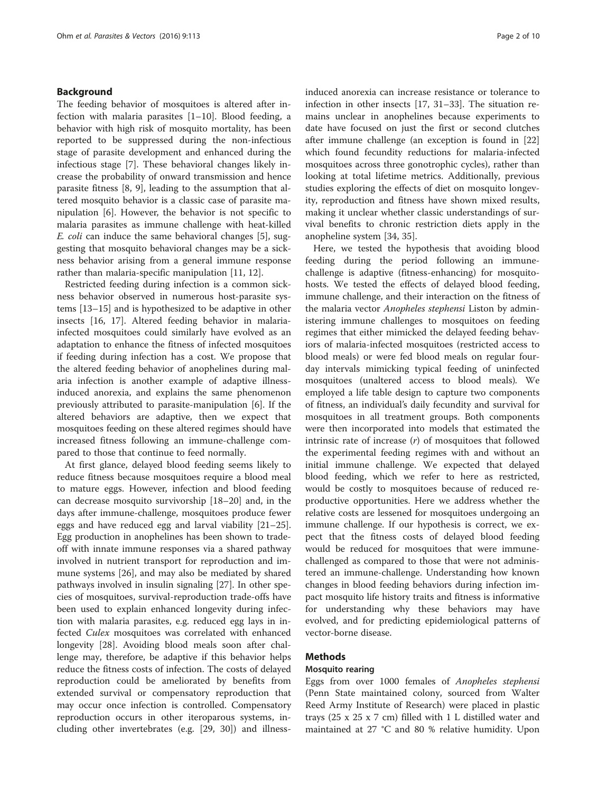# Background

The feeding behavior of mosquitoes is altered after infection with malaria parasites  $[1–10]$  $[1–10]$  $[1–10]$ . Blood feeding, a behavior with high risk of mosquito mortality, has been reported to be suppressed during the non-infectious stage of parasite development and enhanced during the infectious stage [\[7](#page-8-0)]. These behavioral changes likely increase the probability of onward transmission and hence parasite fitness [[8](#page-8-0), [9](#page-8-0)], leading to the assumption that altered mosquito behavior is a classic case of parasite manipulation [[6\]](#page-8-0). However, the behavior is not specific to malaria parasites as immune challenge with heat-killed E. coli can induce the same behavioral changes [\[5](#page-8-0)], suggesting that mosquito behavioral changes may be a sickness behavior arising from a general immune response rather than malaria-specific manipulation [[11, 12\]](#page-8-0).

Restricted feeding during infection is a common sickness behavior observed in numerous host-parasite systems [\[13](#page-8-0)–[15\]](#page-8-0) and is hypothesized to be adaptive in other insects [\[16, 17\]](#page-8-0). Altered feeding behavior in malariainfected mosquitoes could similarly have evolved as an adaptation to enhance the fitness of infected mosquitoes if feeding during infection has a cost. We propose that the altered feeding behavior of anophelines during malaria infection is another example of adaptive illnessinduced anorexia, and explains the same phenomenon previously attributed to parasite-manipulation [\[6\]](#page-8-0). If the altered behaviors are adaptive, then we expect that mosquitoes feeding on these altered regimes should have increased fitness following an immune-challenge compared to those that continue to feed normally.

At first glance, delayed blood feeding seems likely to reduce fitness because mosquitoes require a blood meal to mature eggs. However, infection and blood feeding can decrease mosquito survivorship [[18](#page-8-0)–[20](#page-8-0)] and, in the days after immune-challenge, mosquitoes produce fewer eggs and have reduced egg and larval viability [[21](#page-8-0)–[25](#page-8-0)]. Egg production in anophelines has been shown to tradeoff with innate immune responses via a shared pathway involved in nutrient transport for reproduction and immune systems [\[26](#page-8-0)], and may also be mediated by shared pathways involved in insulin signaling [[27\]](#page-8-0). In other species of mosquitoes, survival-reproduction trade-offs have been used to explain enhanced longevity during infection with malaria parasites, e.g. reduced egg lays in infected Culex mosquitoes was correlated with enhanced longevity [\[28\]](#page-8-0). Avoiding blood meals soon after challenge may, therefore, be adaptive if this behavior helps reduce the fitness costs of infection. The costs of delayed reproduction could be ameliorated by benefits from extended survival or compensatory reproduction that may occur once infection is controlled. Compensatory reproduction occurs in other iteroparous systems, including other invertebrates (e.g. [[29](#page--1-0), [30\]](#page--1-0)) and illness-

induced anorexia can increase resistance or tolerance to infection in other insects [[17,](#page-8-0) [31](#page--1-0)–[33](#page--1-0)]. The situation remains unclear in anophelines because experiments to date have focused on just the first or second clutches after immune challenge (an exception is found in [[22](#page-8-0)] which found fecundity reductions for malaria-infected mosquitoes across three gonotrophic cycles), rather than looking at total lifetime metrics. Additionally, previous studies exploring the effects of diet on mosquito longevity, reproduction and fitness have shown mixed results, making it unclear whether classic understandings of survival benefits to chronic restriction diets apply in the anopheline system [\[34](#page--1-0), [35](#page--1-0)].

Here, we tested the hypothesis that avoiding blood feeding during the period following an immunechallenge is adaptive (fitness-enhancing) for mosquitohosts. We tested the effects of delayed blood feeding, immune challenge, and their interaction on the fitness of the malaria vector Anopheles stephensi Liston by administering immune challenges to mosquitoes on feeding regimes that either mimicked the delayed feeding behaviors of malaria-infected mosquitoes (restricted access to blood meals) or were fed blood meals on regular fourday intervals mimicking typical feeding of uninfected mosquitoes (unaltered access to blood meals). We employed a life table design to capture two components of fitness, an individual's daily fecundity and survival for mosquitoes in all treatment groups. Both components were then incorporated into models that estimated the intrinsic rate of increase  $(r)$  of mosquitoes that followed the experimental feeding regimes with and without an initial immune challenge. We expected that delayed blood feeding, which we refer to here as restricted, would be costly to mosquitoes because of reduced reproductive opportunities. Here we address whether the relative costs are lessened for mosquitoes undergoing an immune challenge. If our hypothesis is correct, we expect that the fitness costs of delayed blood feeding would be reduced for mosquitoes that were immunechallenged as compared to those that were not administered an immune-challenge. Understanding how known changes in blood feeding behaviors during infection impact mosquito life history traits and fitness is informative for understanding why these behaviors may have evolved, and for predicting epidemiological patterns of vector-borne disease.

# Methods

# Mosquito rearing

Eggs from over 1000 females of Anopheles stephensi (Penn State maintained colony, sourced from Walter Reed Army Institute of Research) were placed in plastic trays (25 x 25 x 7 cm) filled with 1 L distilled water and maintained at 27 °C and 80 % relative humidity. Upon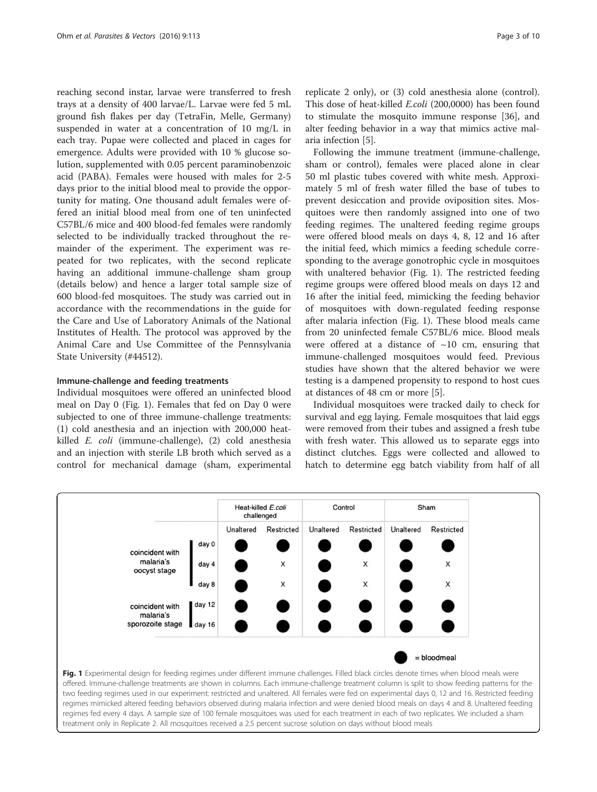reaching second instar, larvae were transferred to fresh trays at a density of 400 larvae/L. Larvae were fed 5 mL ground fish flakes per day (TetraFin, Melle, Germany) suspended in water at a concentration of 10 mg/L in each tray. Pupae were collected and placed in cages for emergence. Adults were provided with 10 % glucose solution, supplemented with 0.05 percent paraminobenzoic acid (PABA). Females were housed with males for 2-5 days prior to the initial blood meal to provide the opportunity for mating. One thousand adult females were offered an initial blood meal from one of ten uninfected C57BL/6 mice and 400 blood-fed females were randomly selected to be individually tracked throughout the remainder of the experiment. The experiment was repeated for two replicates, with the second replicate having an additional immune-challenge sham group (details below) and hence a larger total sample size of 600 blood-fed mosquitoes. The study was carried out in accordance with the recommendations in the guide for the Care and Use of Laboratory Animals of the National Institutes of Health. The protocol was approved by the Animal Care and Use Committee of the Pennsylvania State University (#44512).

#### Immune-challenge and feeding treatments

Individual mosquitoes were offered an uninfected blood meal on Day 0 (Fig. 1). Females that fed on Day 0 were subjected to one of three immune-challenge treatments: (1) cold anesthesia and an injection with 200,000 heatkilled E. coli (immune-challenge), (2) cold anesthesia and an injection with sterile LB broth which served as a control for mechanical damage (sham, experimental replicate 2 only), or (3) cold anesthesia alone (control). This dose of heat-killed *E.coli* (200,0000) has been found to stimulate the mosquito immune response [[36](#page--1-0)], and alter feeding behavior in a way that mimics active malaria infection [[5\]](#page-8-0).

Following the immune treatment (immune-challenge, sham or control), females were placed alone in clear 50 ml plastic tubes covered with white mesh. Approximately 5 ml of fresh water filled the base of tubes to prevent desiccation and provide oviposition sites. Mosquitoes were then randomly assigned into one of two feeding regimes. The unaltered feeding regime groups were offered blood meals on days 4, 8, 12 and 16 after the initial feed, which mimics a feeding schedule corresponding to the average gonotrophic cycle in mosquitoes with unaltered behavior (Fig. 1). The restricted feeding regime groups were offered blood meals on days 12 and 16 after the initial feed, mimicking the feeding behavior of mosquitoes with down-regulated feeding response after malaria infection (Fig. 1). These blood meals came from 20 uninfected female C57BL/6 mice. Blood meals were offered at a distance of  $\sim$ 10 cm, ensuring that immune-challenged mosquitoes would feed. Previous studies have shown that the altered behavior we were testing is a dampened propensity to respond to host cues at distances of 48 cm or more [[5\]](#page-8-0).

Individual mosquitoes were tracked daily to check for survival and egg laying. Female mosquitoes that laid eggs were removed from their tubes and assigned a fresh tube with fresh water. This allowed us to separate eggs into distinct clutches. Eggs were collected and allowed to hatch to determine egg batch viability from half of all



Fig. 1 Experimental design for feeding regimes under different immune challenges. Filled black circles denote times when blood meals were offered. Immune-challenge treatments are shown in columns. Each immune-challenge treatment column is split to show feeding patterns for the two feeding regimes used in our experiment: restricted and unaltered. All females were fed on experimental days 0, 12 and 16. Restricted feeding regimes mimicked altered feeding behaviors observed during malaria infection and were denied blood meals on days 4 and 8. Unaltered feeding regimes fed every 4 days. A sample size of 100 female mosquitoes was used for each treatment in each of two replicates. We included a sham treatment only in Replicate 2. All mosquitoes received a 2.5 percent sucrose solution on days without blood meals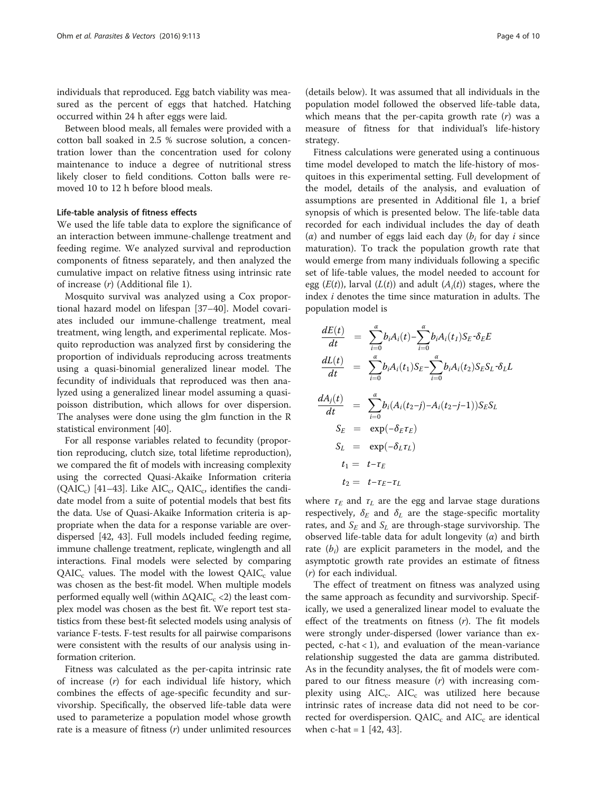individuals that reproduced. Egg batch viability was measured as the percent of eggs that hatched. Hatching occurred within 24 h after eggs were laid.

Between blood meals, all females were provided with a cotton ball soaked in 2.5 % sucrose solution, a concentration lower than the concentration used for colony maintenance to induce a degree of nutritional stress likely closer to field conditions. Cotton balls were removed 10 to 12 h before blood meals.

#### Life-table analysis of fitness effects

We used the life table data to explore the significance of an interaction between immune-challenge treatment and feeding regime. We analyzed survival and reproduction components of fitness separately, and then analyzed the cumulative impact on relative fitness using intrinsic rate of increase (r) (Additional file [1](#page-8-0)).

Mosquito survival was analyzed using a Cox proportional hazard model on lifespan [\[37](#page--1-0)–[40\]](#page--1-0). Model covariates included our immune-challenge treatment, meal treatment, wing length, and experimental replicate. Mosquito reproduction was analyzed first by considering the proportion of individuals reproducing across treatments using a quasi-binomial generalized linear model. The fecundity of individuals that reproduced was then analyzed using a generalized linear model assuming a quasipoisson distribution, which allows for over dispersion. The analyses were done using the glm function in the R statistical environment [[40\]](#page--1-0).

For all response variables related to fecundity (proportion reproducing, clutch size, total lifetime reproduction), we compared the fit of models with increasing complexity using the corrected Quasi-Akaike Information criteria (QAIC<sub>c</sub>) [[41](#page--1-0)–[43\]](#page--1-0). Like AIC<sub>c</sub>, QAIC<sub>c</sub>, identifies the candidate model from a suite of potential models that best fits the data. Use of Quasi-Akaike Information criteria is appropriate when the data for a response variable are overdispersed [[42](#page--1-0), [43](#page--1-0)]. Full models included feeding regime, immune challenge treatment, replicate, winglength and all interactions. Final models were selected by comparing  $QAIC_c$  values. The model with the lowest  $QAIC_c$  value was chosen as the best-fit model. When multiple models performed equally well (within  $\Delta QAIC_c \langle 2 \rangle$  the least complex model was chosen as the best fit. We report test statistics from these best-fit selected models using analysis of variance F-tests. F-test results for all pairwise comparisons were consistent with the results of our analysis using information criterion.

Fitness was calculated as the per-capita intrinsic rate of increase (r) for each individual life history, which combines the effects of age-specific fecundity and survivorship. Specifically, the observed life-table data were used to parameterize a population model whose growth rate is a measure of fitness  $(r)$  under unlimited resources

(details below). It was assumed that all individuals in the population model followed the observed life-table data, which means that the per-capita growth rate  $(r)$  was a measure of fitness for that individual's life-history strategy.

Fitness calculations were generated using a continuous time model developed to match the life-history of mosquitoes in this experimental setting. Full development of the model, details of the analysis, and evaluation of assumptions are presented in Additional file [1](#page-8-0), a brief synopsis of which is presented below. The life-table data recorded for each individual includes the day of death ( $\alpha$ ) and number of eggs laid each day ( $b_i$  for day i since maturation). To track the population growth rate that would emerge from many individuals following a specific set of life-table values, the model needed to account for egg  $(E(t))$ , larval  $(L(t))$  and adult  $(A<sub>i</sub>(t))$  stages, where the index i denotes the time since maturation in adults. The population model is

$$
\frac{dE(t)}{dt} = \sum_{i=0}^{\alpha} b_i A_i(t) - \sum_{i=0}^{\alpha} b_i A_i(t_I) S_E \cdot \delta_E E
$$
\n
$$
\frac{dL(t)}{dt} = \sum_{i=0}^{\alpha} b_i A_i(t_I) S_E - \sum_{i=0}^{\alpha} b_i A_i(t_I) S_E S_L \cdot \delta_L L
$$
\n
$$
\frac{dA_i(t)}{dt} = \sum_{i=0}^{\alpha} b_i (A_i(t_2-j) - A_i(t_2-j-1)) S_E S_L
$$
\n
$$
S_E = \exp(-\delta_E \tau_E)
$$
\n
$$
S_L = \exp(-\delta_L \tau_L)
$$
\n
$$
t_1 = t - \tau_E
$$
\n
$$
t_2 = t - \tau_E - \tau_L
$$

where  $\tau_E$  and  $\tau_L$  are the egg and larvae stage durations respectively,  $\delta_E$  and  $\delta_L$  are the stage-specific mortality rates, and  $S_F$  and  $S_L$  are through-stage survivorship. The observed life-table data for adult longevity  $(\alpha)$  and birth rate  $(b_i)$  are explicit parameters in the model, and the asymptotic growth rate provides an estimate of fitness (r) for each individual.

The effect of treatment on fitness was analyzed using the same approach as fecundity and survivorship. Specifically, we used a generalized linear model to evaluate the effect of the treatments on fitness  $(r)$ . The fit models were strongly under-dispersed (lower variance than expected,  $c$ -hat < 1), and evaluation of the mean-variance relationship suggested the data are gamma distributed. As in the fecundity analyses, the fit of models were compared to our fitness measure  $(r)$  with increasing complexity using  $AIC_c$ .  $AIC_c$  was utilized here because intrinsic rates of increase data did not need to be corrected for overdispersion.  $QAIC<sub>c</sub>$  and  $AIC<sub>c</sub>$  are identical when  $c$ -hat = 1 [\[42, 43\]](#page--1-0).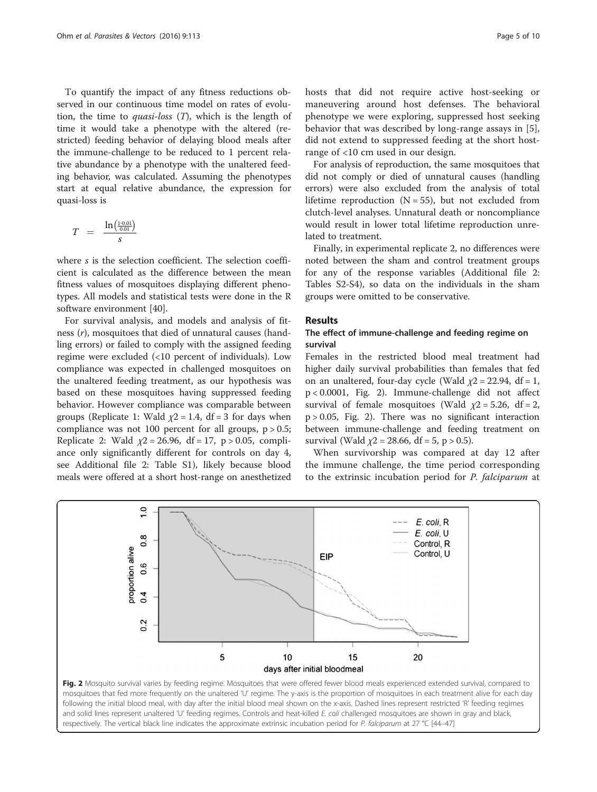<span id="page-4-0"></span>To quantify the impact of any fitness reductions observed in our continuous time model on rates of evolution, the time to *quasi-loss*  $(T)$ , which is the length of time it would take a phenotype with the altered (restricted) feeding behavior of delaying blood meals after the immune-challenge to be reduced to 1 percent relative abundance by a phenotype with the unaltered feeding behavior, was calculated. Assuming the phenotypes start at equal relative abundance, the expression for quasi-loss is

$$
T = \frac{\ln\left(\frac{1 \cdot 0.01}{0.01}\right)}{s}
$$

where s is the selection coefficient. The selection coefficient is calculated as the difference between the mean fitness values of mosquitoes displaying different phenotypes. All models and statistical tests were done in the R software environment [\[40](#page--1-0)].

For survival analysis, and models and analysis of fitness (r), mosquitoes that died of unnatural causes (handling errors) or failed to comply with the assigned feeding regime were excluded (<10 percent of individuals). Low compliance was expected in challenged mosquitoes on the unaltered feeding treatment, as our hypothesis was based on these mosquitoes having suppressed feeding behavior. However compliance was comparable between groups (Replicate 1: Wald  $\chi$ 2 = 1.4, df = 3 for days when compliance was not 100 percent for all groups,  $p > 0.5$ ; Replicate 2: Wald  $\chi$ 2 = 26.96, df = 17, p > 0.05, compliance only significantly different for controls on day 4, see Additional file [2:](#page-8-0) Table S1), likely because blood meals were offered at a short host-range on anesthetized hosts that did not require active host-seeking or maneuvering around host defenses. The behavioral phenotype we were exploring, suppressed host seeking behavior that was described by long-range assays in [\[5](#page-8-0)], did not extend to suppressed feeding at the short hostrange of <10 cm used in our design.

For analysis of reproduction, the same mosquitoes that did not comply or died of unnatural causes (handling errors) were also excluded from the analysis of total lifetime reproduction  $(N = 55)$ , but not excluded from clutch-level analyses. Unnatural death or noncompliance would result in lower total lifetime reproduction unrelated to treatment.

Finally, in experimental replicate 2, no differences were noted between the sham and control treatment groups for any of the response variables (Additional file [2](#page-8-0): Tables S2-S4), so data on the individuals in the sham groups were omitted to be conservative.

#### Results

# The effect of immune-challenge and feeding regime on survival

Females in the restricted blood meal treatment had higher daily survival probabilities than females that fed on an unaltered, four-day cycle (Wald  $\chi$ 2 = 22.94, df = 1, p < 0.0001, Fig. 2). Immune-challenge did not affect survival of female mosquitoes (Wald  $\chi$ 2 = 5.26, df = 2, p > 0.05, Fig. 2). There was no significant interaction between immune-challenge and feeding treatment on survival (Wald  $\chi$ 2 = 28.66, df = 5, p > 0.5).

When survivorship was compared at day 12 after the immune challenge, the time period corresponding to the extrinsic incubation period for P. falciparum at

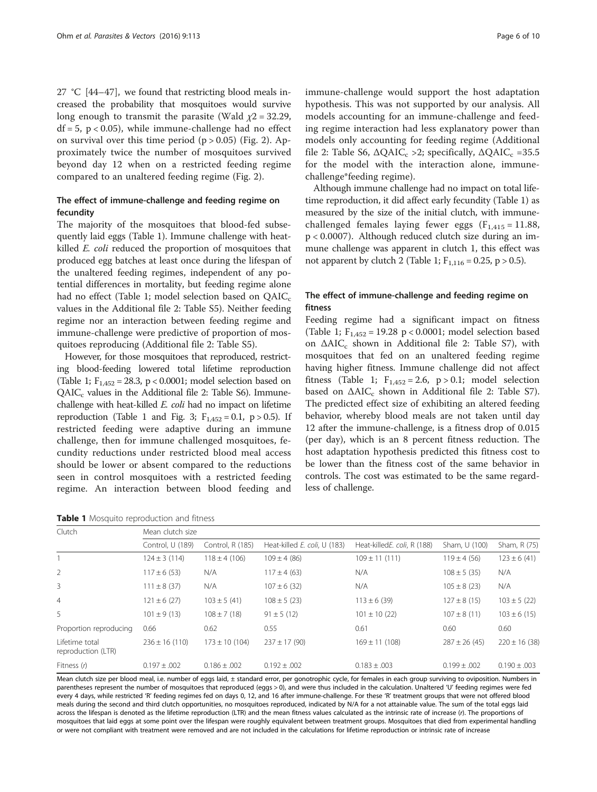<span id="page-5-0"></span>27 °C [\[44](#page--1-0)–[47](#page--1-0)], we found that restricting blood meals increased the probability that mosquitoes would survive long enough to transmit the parasite (Wald  $\chi$ 2 = 32.29,  $df = 5$ ,  $p < 0.05$ ), while immune-challenge had no effect on survival over this time period  $(p > 0.05)$  (Fig. [2\)](#page-4-0). Approximately twice the number of mosquitoes survived beyond day 12 when on a restricted feeding regime compared to an unaltered feeding regime (Fig. [2](#page-4-0)).

# The effect of immune-challenge and feeding regime on fecundity

The majority of the mosquitoes that blood-fed subsequently laid eggs (Table 1). Immune challenge with heatkilled E. coli reduced the proportion of mosquitoes that produced egg batches at least once during the lifespan of the unaltered feeding regimes, independent of any potential differences in mortality, but feeding regime alone had no effect (Table 1; model selection based on  $QAIC<sub>c</sub>$ values in the Additional file [2](#page-8-0): Table S5). Neither feeding regime nor an interaction between feeding regime and immune-challenge were predictive of proportion of mosquitoes reproducing (Additional file [2](#page-8-0): Table S5).

However, for those mosquitoes that reproduced, restricting blood-feeding lowered total lifetime reproduction (Table 1;  $F_{1,452} = 28.3$ , p < 0.0001; model selection based on  $QAIC<sub>c</sub>$  values in the Additional file [2:](#page-8-0) Table S6). Immunechallenge with heat-killed E. coli had no impact on lifetime reproduction (Table 1 and Fig. [3](#page-6-0);  $F_{1,452} = 0.1$ , p > 0.5). If restricted feeding were adaptive during an immune challenge, then for immune challenged mosquitoes, fecundity reductions under restricted blood meal access should be lower or absent compared to the reductions seen in control mosquitoes with a restricted feeding regime. An interaction between blood feeding and

|  |  | Table 1 Mosquito reproduction and fitness |  |
|--|--|-------------------------------------------|--|
|--|--|-------------------------------------------|--|

immune-challenge would support the host adaptation hypothesis. This was not supported by our analysis. All models accounting for an immune-challenge and feeding regime interaction had less explanatory power than models only accounting for feeding regime (Additional file [2:](#page-8-0) Table S6,  $\triangle QAIC_c >2$ ; specifically,  $\triangle QAIC_c =35.5$ for the model with the interaction alone, immunechallenge\*feeding regime).

Although immune challenge had no impact on total lifetime reproduction, it did affect early fecundity (Table 1) as measured by the size of the initial clutch, with immunechallenged females laying fewer eggs  $(F_{1,415} = 11.88,$ p < 0.0007). Although reduced clutch size during an immune challenge was apparent in clutch 1, this effect was not apparent by clutch 2 (Table 1;  $F_{1,116} = 0.25$ , p > 0.5).

# The effect of immune-challenge and feeding regime on fitness

Feeding regime had a significant impact on fitness (Table 1;  $F_{1,452} = 19.28 \text{ p} < 0.0001$ ; model selection based on  $\triangle AIC_c$  shown in Additional file [2](#page-8-0): Table S7), with mosquitoes that fed on an unaltered feeding regime having higher fitness. Immune challenge did not affect fitness (Table 1;  $F_{1,452} = 2.6$ , p > 0.1; model selection based on  $\triangle$ AIC<sub>c</sub> shown in Additional file [2](#page-8-0): Table S7). The predicted effect size of exhibiting an altered feeding behavior, whereby blood meals are not taken until day 12 after the immune-challenge, is a fitness drop of 0.015 (per day), which is an 8 percent fitness reduction. The host adaptation hypothesis predicted this fitness cost to be lower than the fitness cost of the same behavior in controls. The cost was estimated to be the same regardless of challenge.

| Clutch                               | Mean clutch size   |                    |                              |                             |                   |                   |  |  |
|--------------------------------------|--------------------|--------------------|------------------------------|-----------------------------|-------------------|-------------------|--|--|
|                                      | Control, U (189)   | Control, R (185)   | Heat-killed E. coli, U (183) | Heat-killedE. coli, R (188) | Sham, U (100)     | Sham, R (75)      |  |  |
|                                      | $124 \pm 3(114)$   | $118 \pm 4(106)$   | $109 \pm 4$ (86)             | $109 \pm 11(111)$           | $119 \pm 4(56)$   | $123 \pm 6(41)$   |  |  |
| 2                                    | $117 \pm 6(53)$    | N/A                | $117 \pm 4(63)$              | N/A                         | $108 \pm 5(35)$   | N/A               |  |  |
| 3                                    | $111 \pm 8$ (37)   | N/A                | $107 \pm 6(32)$              | N/A                         | $105 \pm 8(23)$   | N/A               |  |  |
| $\overline{4}$                       | $121 \pm 6(27)$    | $103 \pm 5(41)$    | $108 \pm 5(23)$              | $113 \pm 6$ (39)            | $127 \pm 8(15)$   | $103 \pm 5(22)$   |  |  |
| 5                                    | $101 \pm 9(13)$    | $108 \pm 7(18)$    | $91 \pm 5(12)$               | $101 \pm 10$ (22)           | $107 \pm 8(11)$   | $103 \pm 6(15)$   |  |  |
| Proportion reproducing               | 0.66               | 0.62               | 0.55                         | 0.61                        | 0.60              | 0.60              |  |  |
| Lifetime total<br>reproduction (LTR) | $236 \pm 16$ (110) | $173 \pm 10$ (104) | $237 \pm 17(90)$             | $169 \pm 11$ (108)          | $287 \pm 26$ (45) | $220 \pm 16$ (38) |  |  |
| Fitness (r)                          | $0.197 \pm 0.002$  | $0.186 \pm 0.002$  | $0.192 \pm .002$             | $0.183 \pm .003$            | $0.199 \pm 0.002$ | $0.190 \pm 0.003$ |  |  |

Mean clutch size per blood meal, i.e. number of eggs laid, ± standard error, per gonotrophic cycle, for females in each group surviving to oviposition. Numbers in parentheses represent the number of mosquitoes that reproduced (eggs > 0), and were thus included in the calculation. Unaltered 'U' feeding regimes were fed every 4 days, while restricted 'R' feeding regimes fed on days 0, 12, and 16 after immune-challenge. For these 'R' treatment groups that were not offered blood meals during the second and third clutch opportunities, no mosquitoes reproduced, indicated by N/A for a not attainable value. The sum of the total eggs laid across the lifespan is denoted as the lifetime reproduction (LTR) and the mean fitness values calculated as the intrinsic rate of increase (r). The proportions of mosquitoes that laid eggs at some point over the lifespan were roughly equivalent between treatment groups. Mosquitoes that died from experimental handling or were not compliant with treatment were removed and are not included in the calculations for lifetime reproduction or intrinsic rate of increase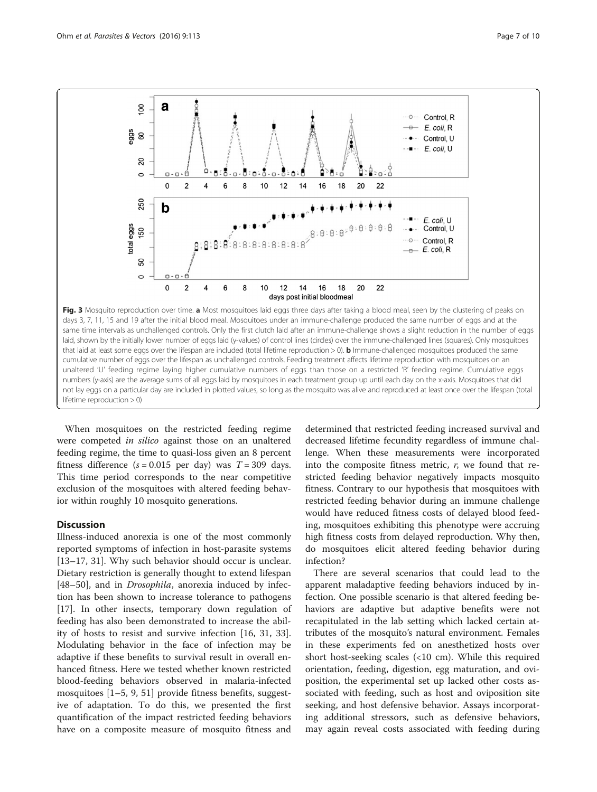<span id="page-6-0"></span>

not lay eggs on a particular day are included in plotted values, so long as the mosquito was alive and reproduced at least once over the lifespan (total

When mosquitoes on the restricted feeding regime were competed *in silico* against those on an unaltered feeding regime, the time to quasi-loss given an 8 percent fitness difference  $(s = 0.015$  per day) was  $T = 309$  days. This time period corresponds to the near competitive exclusion of the mosquitoes with altered feeding behavior within roughly 10 mosquito generations.

#### **Discussion**

lifetime reproduction > 0)

Illness-induced anorexia is one of the most commonly reported symptoms of infection in host-parasite systems [[13](#page-8-0)–[17](#page-8-0), [31\]](#page--1-0). Why such behavior should occur is unclear. Dietary restriction is generally thought to extend lifespan [[48](#page--1-0)–[50](#page--1-0)], and in *Drosophila*, anorexia induced by infection has been shown to increase tolerance to pathogens [[17\]](#page-8-0). In other insects, temporary down regulation of feeding has also been demonstrated to increase the ability of hosts to resist and survive infection [\[16,](#page-8-0) [31](#page--1-0), [33](#page--1-0)]. Modulating behavior in the face of infection may be adaptive if these benefits to survival result in overall enhanced fitness. Here we tested whether known restricted blood-feeding behaviors observed in malaria-infected mosquitoes [[1](#page-8-0)–[5](#page-8-0), [9,](#page-8-0) [51\]](#page--1-0) provide fitness benefits, suggestive of adaptation. To do this, we presented the first quantification of the impact restricted feeding behaviors have on a composite measure of mosquito fitness and

determined that restricted feeding increased survival and decreased lifetime fecundity regardless of immune challenge. When these measurements were incorporated into the composite fitness metric,  $r$ , we found that restricted feeding behavior negatively impacts mosquito fitness. Contrary to our hypothesis that mosquitoes with restricted feeding behavior during an immune challenge would have reduced fitness costs of delayed blood feeding, mosquitoes exhibiting this phenotype were accruing high fitness costs from delayed reproduction. Why then, do mosquitoes elicit altered feeding behavior during infection?

There are several scenarios that could lead to the apparent maladaptive feeding behaviors induced by infection. One possible scenario is that altered feeding behaviors are adaptive but adaptive benefits were not recapitulated in the lab setting which lacked certain attributes of the mosquito's natural environment. Females in these experiments fed on anesthetized hosts over short host-seeking scales (<10 cm). While this required orientation, feeding, digestion, egg maturation, and oviposition, the experimental set up lacked other costs associated with feeding, such as host and oviposition site seeking, and host defensive behavior. Assays incorporating additional stressors, such as defensive behaviors, may again reveal costs associated with feeding during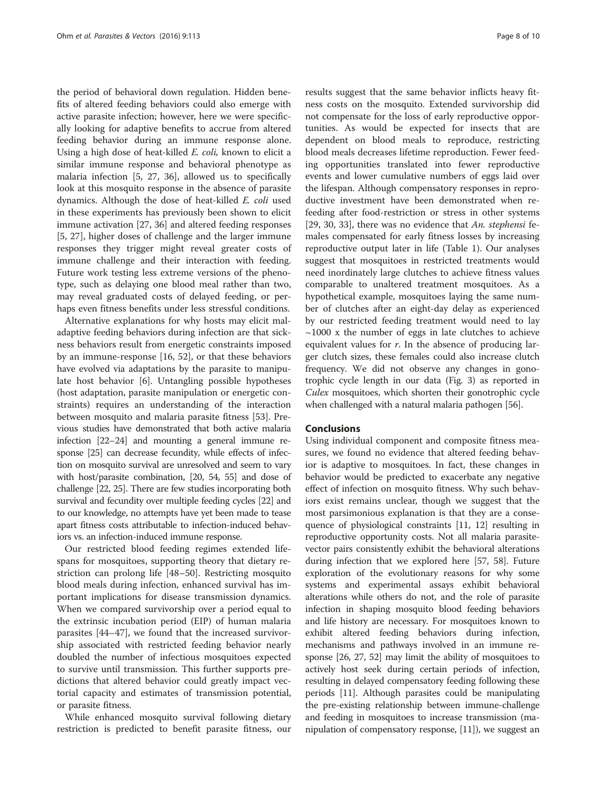the period of behavioral down regulation. Hidden benefits of altered feeding behaviors could also emerge with active parasite infection; however, here we were specifically looking for adaptive benefits to accrue from altered feeding behavior during an immune response alone. Using a high dose of heat-killed E. coli, known to elicit a similar immune response and behavioral phenotype as malaria infection [\[5](#page-8-0), [27](#page-8-0), [36\]](#page--1-0), allowed us to specifically look at this mosquito response in the absence of parasite dynamics. Although the dose of heat-killed E. coli used in these experiments has previously been shown to elicit immune activation [\[27](#page-8-0), [36\]](#page--1-0) and altered feeding responses [[5, 27\]](#page-8-0), higher doses of challenge and the larger immune responses they trigger might reveal greater costs of immune challenge and their interaction with feeding. Future work testing less extreme versions of the phenotype, such as delaying one blood meal rather than two, may reveal graduated costs of delayed feeding, or perhaps even fitness benefits under less stressful conditions.

Alternative explanations for why hosts may elicit maladaptive feeding behaviors during infection are that sickness behaviors result from energetic constraints imposed by an immune-response [\[16](#page-8-0), [52](#page--1-0)], or that these behaviors have evolved via adaptations by the parasite to manipulate host behavior [[6\]](#page-8-0). Untangling possible hypotheses (host adaptation, parasite manipulation or energetic constraints) requires an understanding of the interaction between mosquito and malaria parasite fitness [[53\]](#page--1-0). Previous studies have demonstrated that both active malaria infection [[22](#page-8-0)–[24](#page-8-0)] and mounting a general immune response [\[25\]](#page-8-0) can decrease fecundity, while effects of infection on mosquito survival are unresolved and seem to vary with host/parasite combination, [\[20,](#page-8-0) [54, 55\]](#page--1-0) and dose of challenge [\[22](#page-8-0), [25](#page-8-0)]. There are few studies incorporating both survival and fecundity over multiple feeding cycles [[22](#page-8-0)] and to our knowledge, no attempts have yet been made to tease apart fitness costs attributable to infection-induced behaviors vs. an infection-induced immune response.

Our restricted blood feeding regimes extended lifespans for mosquitoes, supporting theory that dietary restriction can prolong life [[48](#page--1-0)–[50\]](#page--1-0). Restricting mosquito blood meals during infection, enhanced survival has important implications for disease transmission dynamics. When we compared survivorship over a period equal to the extrinsic incubation period (EIP) of human malaria parasites [[44](#page--1-0)–[47](#page--1-0)], we found that the increased survivorship associated with restricted feeding behavior nearly doubled the number of infectious mosquitoes expected to survive until transmission. This further supports predictions that altered behavior could greatly impact vectorial capacity and estimates of transmission potential, or parasite fitness.

While enhanced mosquito survival following dietary restriction is predicted to benefit parasite fitness, our

results suggest that the same behavior inflicts heavy fitness costs on the mosquito. Extended survivorship did not compensate for the loss of early reproductive opportunities. As would be expected for insects that are dependent on blood meals to reproduce, restricting blood meals decreases lifetime reproduction. Fewer feeding opportunities translated into fewer reproductive events and lower cumulative numbers of eggs laid over the lifespan. Although compensatory responses in reproductive investment have been demonstrated when refeeding after food-restriction or stress in other systems [[29, 30, 33\]](#page--1-0), there was no evidence that An. stephensi females compensated for early fitness losses by increasing reproductive output later in life (Table [1\)](#page-5-0). Our analyses suggest that mosquitoes in restricted treatments would need inordinately large clutches to achieve fitness values comparable to unaltered treatment mosquitoes. As a hypothetical example, mosquitoes laying the same number of clutches after an eight-day delay as experienced by our restricted feeding treatment would need to lay  $\sim$ 1000 x the number of eggs in late clutches to achieve equivalent values for  $r$ . In the absence of producing larger clutch sizes, these females could also increase clutch frequency. We did not observe any changes in gonotrophic cycle length in our data (Fig. [3](#page-6-0)) as reported in Culex mosquitoes, which shorten their gonotrophic cycle when challenged with a natural malaria pathogen [\[56\]](#page--1-0).

# Conclusions

Using individual component and composite fitness measures, we found no evidence that altered feeding behavior is adaptive to mosquitoes. In fact, these changes in behavior would be predicted to exacerbate any negative effect of infection on mosquito fitness. Why such behaviors exist remains unclear, though we suggest that the most parsimonious explanation is that they are a consequence of physiological constraints [[11](#page-8-0), [12\]](#page-8-0) resulting in reproductive opportunity costs. Not all malaria parasitevector pairs consistently exhibit the behavioral alterations during infection that we explored here [\[57, 58](#page--1-0)]. Future exploration of the evolutionary reasons for why some systems and experimental assays exhibit behavioral alterations while others do not, and the role of parasite infection in shaping mosquito blood feeding behaviors and life history are necessary. For mosquitoes known to exhibit altered feeding behaviors during infection, mechanisms and pathways involved in an immune response [\[26, 27](#page-8-0), [52](#page--1-0)] may limit the ability of mosquitoes to actively host seek during certain periods of infection, resulting in delayed compensatory feeding following these periods [\[11\]](#page-8-0). Although parasites could be manipulating the pre-existing relationship between immune-challenge and feeding in mosquitoes to increase transmission (manipulation of compensatory response, [[11](#page-8-0)]), we suggest an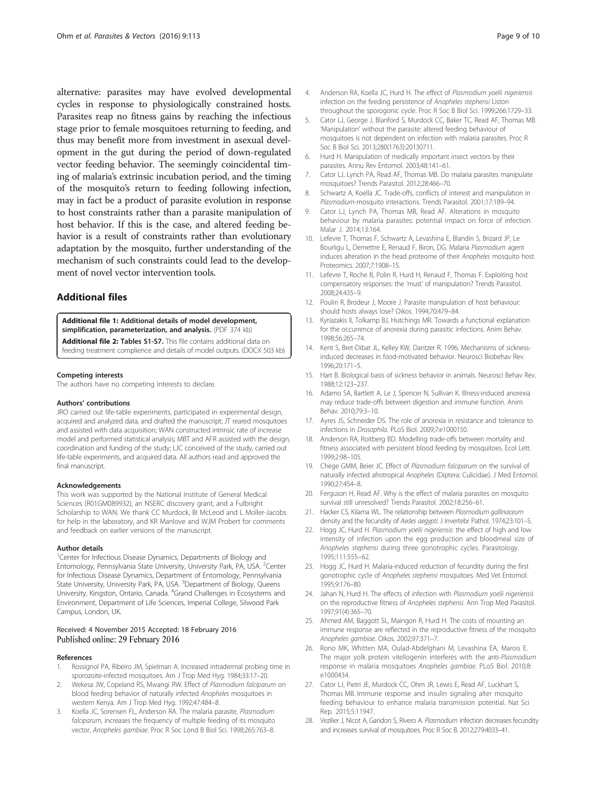<span id="page-8-0"></span>alternative: parasites may have evolved developmental cycles in response to physiologically constrained hosts. Parasites reap no fitness gains by reaching the infectious stage prior to female mosquitoes returning to feeding, and thus may benefit more from investment in asexual development in the gut during the period of down-regulated vector feeding behavior. The seemingly coincidental timing of malaria's extrinsic incubation period, and the timing of the mosquito's return to feeding following infection, may in fact be a product of parasite evolution in response to host constraints rather than a parasite manipulation of host behavior. If this is the case, and altered feeding behavior is a result of constraints rather than evolutionary adaptation by the mosquito, further understanding of the mechanism of such constraints could lead to the development of novel vector intervention tools.

# Additional files

[Additional file 1:](dx.doi.org/10.1186/s13071-016-1392-x) Additional details of model development, simplification, parameterization, and analysis. (PDF 374 kb)

[Additional file 2:](dx.doi.org/10.1186/s13071-016-1392-x) Tables S1-S7. This file contains additional data on

feeding treatment complience and details of model outputs. (DOCX 503 kb)

#### Competing interests

The authors have no competing interests to declare.

#### Authors' contributions

JRO carried out life-table experiments, participated in experimental design, acquired and analyzed data, and drafted the manuscript; JT reared mosquitoes and assisted with data acquisition; WAN constructed intrinsic rate of increase model and performed statistical analysis; MBT and AFR assisted with the design, coordination and funding of the study; LJC conceived of the study, carried out life-table experiments, and acquired data. All authors read and approved the final manuscript.

#### Acknowledgements

This work was supported by the National Institute of General Medical Sciences (R01GM089932), an NSERC discovery grant, and a Fulbright Scholarship to WAN. We thank CC Murdock, BI McLeod and L Moller-Jacobs for help in the laboratory, and KR Manlove and WJM Probert for comments and feedback on earlier versions of the manuscript.

#### Author details

<sup>1</sup>Center for Infectious Disease Dynamics, Departments of Biology and Entomology, Pennsylvania State University, University Park, PA, USA. <sup>2</sup>Center for Infectious Disease Dynamics, Department of Entomology, Pennsylvania State University, University Park, PA, USA. <sup>3</sup>Department of Biology, Queens University, Kingston, Ontario, Canada. <sup>4</sup>Grand Challenges in Ecosystems and Environment, Department of Life Sciences, Imperial College, Silwood Park Campus, London, UK.

#### Received: 4 November 2015 Accepted: 18 February 2016 Published online: 29 February 2016

#### References

- 1. Rossignol PA, Ribeiro JM, Spielman A. Increased intradermal probing time in sporozoite-infected mosquitoes. Am J Trop Med Hyg. 1984;33:17–20.
- Wekesa JW, Copeland RS, Mwangi RW. Effect of Plasmodium falciparum on blood feeding behavior of naturally infected Anopheles mosquitoes in western Kenya. Am J Trop Med Hyg. 1992;47:484–8.
- Koella JC, Sorensen FL, Anderson RA. The malaria parasite, Plasmodium falciparum, increases the frequency of multiple feeding of its mosquito vector, Anopheles gambiae. Proc R Soc Lond B Biol Sci. 1998;265:763–8.
- 4. Anderson RA, Koella JC, Hurd H. The effect of Plasmodium yoelii nigeriensis infection on the feeding persistence of Anopheles stephensi Liston throughout the sporogonic cycle. Proc R Soc B Biol Sci. 1999;266:1729–33.
- 5. Cator LJ, George J, Blanford S, Murdock CC, Baker TC, Read AF, Thomas MB. 'Manipulation' without the parasite: altered feeding behaviour of mosquitoes is not dependent on infection with malaria parasites. Proc R Soc B Biol Sci. 2013;280(1763):20130711.
- 6. Hurd H. Manipulation of medically important insect vectors by their parasites. Annu Rev Entomol. 2003;48:141–61.
- 7. Cator LJ, Lynch PA, Read AF, Thomas MB. Do malaria parasites manipulate mosquitoes? Trends Parasitol. 2012;28:466–70.
- 8. Schwartz A, Koella JC. Trade-offs, conflicts of interest and manipulation in Plasmodium-mosquito interactions. Trends Parasitol. 2001;17:189–94.
- 9. Cator LJ, Lynch PA, Thomas MB, Read AF. Alterations in mosquito behaviour by malaria parasites: potential impact on force of infection. Malar J. 2014;13:164.
- 10. Lefevre T, Thomas F, Schwartz A, Levashina E, Blandin S, Brizard JP, Le Bourligu L, Demettre E, Renaud F, Biron, DG. Malaria Plasmodium agent induces alteration in the head proteome of their Anopheles mosquito host. Proteomics. 2007;7:1908–15.
- 11. Lefevre T, Roche B, Polin R, Hurd H, Renaud F, Thomas F. Exploiting host compensatory responses: the 'must' of manipulation? Trends Parasitol. 2008;24:435–9.
- 12. Poulin R, Brodeur J, Moore J. Parasite manipulation of host behaviour: should hosts always lose? Oikos. 1994;70:479–84.
- 13. Kyriazakis II, Tolkamp BJ, Hutchings MR. Towards a functional explanation for the occurrence of anorexia during parasitic infections. Anim Behav. 1998;56:265–74.
- 14. Kent S, Bret-Dibat JL, Kelley KW, Dantzer R. 1996. Mechanisms of sicknessinduced decreases in food-motivated behavior. Neurosci Biobehav Rev. 1996;20:171–5.
- 15. Hart B. Biological basis of sickness behavior in animals. Neurosci Behav Rev. 1988;12:123–237.
- 16. Adamo SA, Bartlett A, Le J, Spencer N, Sullivan K. Illness-induced anorexia may reduce trade-offs between digestion and immune function. Anim Behav. 2010;79:3–10.
- 17. Ayres JS, Schneider DS. The role of anorexia in resistance and tolerance to infections in Drosophila. PLoS Biol. 2009;7:e1000150.
- 18. Anderson RA, Roitberg BD. Modelling trade-offs between mortality and fitness associated with persistent blood feeding by mosquitoes. Ecol Lett. 1999;2:98–105.
- 19. Chege GMM, Beier JC. Effect of Plasmodium falciparum on the survival of naturally infected afrotropical Anopheles (Diptera: Culicidae). J Med Entomol. 1990;27:454–8.
- 20. Ferguson H, Read AF. Why is the effect of malaria parasites on mosquito survival still unresolved? Trends Parasitol. 2002;18:256–61.
- 21. Hacker CS, Kilama WL. The relationship between Plasmodium gallinaceum density and the fecundity of Aedes aegypti. J Invertebr Pathol. 1974;23:101–5.
- 22. Hogg JC, Hurd H. Plasmodium yoelii nigeriensis: the effect of high and low intensity of infection upon the egg production and bloodmeal size of Anopheles stephensi during three gonotrophic cycles. Parasitology. 1995;111:555–62.
- 23. Hogg JC, Hurd H. Malaria-induced reduction of fecundity during the first gonotrophic cycle of Anopheles stephensi mosquitoes. Med Vet Entomol. 1995;9:176–80.
- 24. Jahan N, Hurd H. The effects of infection with Plasmodium yoelii nigeriensis on the reproductive fitness of Anopheles stephensi. Ann Trop Med Parasitol. 1997;91(4):365–70.
- 25. Ahmed AM, Baggott SL, Maingon R, Hurd H. The costs of mounting an immune response are reflected in the reproductive fitness of the mosquito Anopheles gambiae. Oikos. 2002;97:371–7.
- 26. Rono MK, Whitten MA, Oulad-Abdelghani M, Levashina EA, Marois E. The major yolk protein vitellogenin interferes with the anti-Plasmodium response in malaria mosquitoes Anopheles gambiae. PLoS Biol. 2010;8: e1000434.
- 27. Cator LJ, Pietri JE, Murdock CC, Ohm JR, Lewis E, Read AF, Luckhart S, Thomas MB. Immune response and insulin signaling alter mosquito feeding behaviour to enhance malaria transmission potential. Nat Sci Rep. 2015;5:11947.
- 28. Vezilier J, Nicot A, Gandon S, Rivero A. Plasmodium infection decreases fecundity and increases survival of mosquitoes. Proc R Soc B. 2012;279:4033–41.